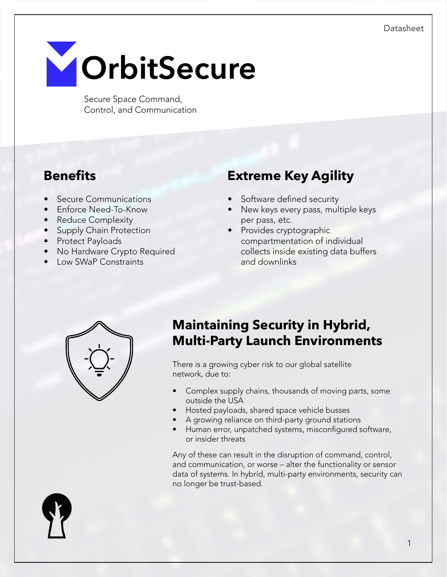

Secure Space Command, Control, and Communication

- Secure Communications
- Enforce Need-To-Know
- Reduce Complexity
- Supply Chain Protection
- Protect Payloads
- No Hardware Crypto Required
- Low SWaP Constraints

# **Benefits Extreme Key Agility**

- Software defined security
- New keys every pass, multiple keys per pass, etc.
- Provides cryptographic compartmentation of individual collects inside existing data buffers and downlinks



# **Maintaining Security in Hybrid, Multi-Party Launch Environments**

There is a growing cyber risk to our global satellite network, due to:

- Complex supply chains, thousands of moving parts, some outside the USA
- Hosted payloads, shared space vehicle busses
- A growing reliance on third-party ground stations
- Human error, unpatched systems, misconfigured software, or insider threats

Any of these can result in the disruption of command, control, and communication, or worse – alter the functionality or sensor data of systems. In hybrid, multi-party environments, security can no longer be trust-based.

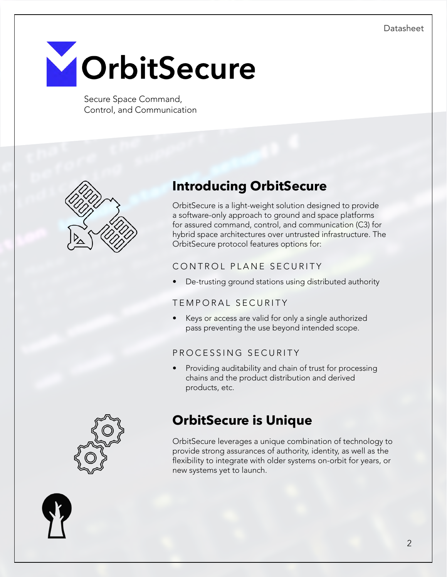

Secure Space Command, Control, and Communication



# **Introducing OrbitSecure**

OrbitSecure is a light-weight solution designed to provide a software-only approach to ground and space platforms for assured command, control, and communication (C3) for hybrid space architectures over untrusted infrastructure. The OrbitSecure protocol features options for:

### CONTROL PLANE SECURITY

• De-trusting ground stations using distributed authority

#### TEMPORAL SECURITY

Keys or access are valid for only a single authorized pass preventing the use beyond intended scope.

### PROCESSING SECURITY

Providing auditability and chain of trust for processing chains and the product distribution and derived products, etc.

# **OrbitSecure is Unique**

OrbitSecure leverages a unique combination of technology to provide strong assurances of authority, identity, as well as the flexibility to integrate with older systems on-orbit for years, or new systems yet to launch.